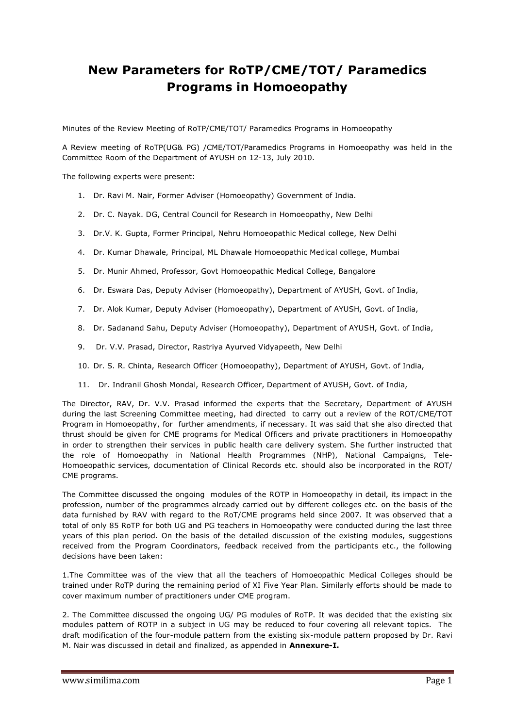# **New Parameters for RoTP/CME/TOT/ Paramedics Programs in Homoeopathy**

Minutes of the Review Meeting of RoTP/CME/TOT/ Paramedics Programs in Homoeopathy

A Review meeting of RoTP(UG& PG) /CME/TOT/Paramedics Programs in Homoeopathy was held in the Committee Room of the Department of AYUSH on 12-13, July 2010.

The following experts were present:

- 1. Dr. Ravi M. Nair, Former Adviser (Homoeopathy) Government of India.
- 2. Dr. C. Nayak. DG, Central Council for Research in Homoeopathy, New Delhi
- 3. Dr.V. K. Gupta, Former Principal, Nehru Homoeopathic Medical college, New Delhi
- 4. Dr. Kumar Dhawale, Principal, ML Dhawale Homoeopathic Medical college, Mumbai
- 5. Dr. Munir Ahmed, Professor, Govt Homoeopathic Medical College, Bangalore
- 6. Dr. Eswara Das, Deputy Adviser (Homoeopathy), Department of AYUSH, Govt. of India,
- 7. Dr. Alok Kumar, Deputy Adviser (Homoeopathy), Department of AYUSH, Govt. of India,
- 8. Dr. Sadanand Sahu, Deputy Adviser (Homoeopathy), Department of AYUSH, Govt. of India,
- 9. Dr. V.V. Prasad, Director, Rastriya Ayurved Vidyapeeth, New Delhi
- 10. Dr. S. R. Chinta, Research Officer (Homoeopathy), Department of AYUSH, Govt. of India,
- 11. Dr. Indranil Ghosh Mondal, Research Officer, Department of AYUSH, Govt. of India,

The Director, RAV, Dr. V.V. Prasad informed the experts that the Secretary, Department of AYUSH during the last Screening Committee meeting, had directed to carry out a review of the ROT/CME/TOT Program in Homoeopathy, for further amendments, if necessary. It was said that she also directed that thrust should be given for CME programs for Medical Officers and private practitioners in Homoeopathy in order to strengthen their services in public health care delivery system. She further instructed that the role of Homoeopathy in National Health Programmes (NHP), National Campaigns, Tele-Homoeopathic services, documentation of Clinical Records etc. should also be incorporated in the ROT/ CME programs.

The Committee discussed the ongoing modules of the ROTP in Homoeopathy in detail, its impact in the profession, number of the programmes already carried out by different colleges etc. on the basis of the data furnished by RAV with regard to the RoT/CME programs held since 2007. It was observed that a total of only 85 RoTP for both UG and PG teachers in Homoeopathy were conducted during the last three years of this plan period. On the basis of the detailed discussion of the existing modules, suggestions received from the Program Coordinators, feedback received from the participants etc., the following decisions have been taken:

1.The Committee was of the view that all the teachers of Homoeopathic Medical Colleges should be trained under RoTP during the remaining period of XI Five Year Plan. Similarly efforts should be made to cover maximum number of practitioners under CME program.

2. The Committee discussed the ongoing UG/ PG modules of RoTP. It was decided that the existing six modules pattern of ROTP in a subject in UG may be reduced to four covering all relevant topics. The draft modification of the four-module pattern from the existing six-module pattern proposed by Dr. Ravi M. Nair was discussed in detail and finalized, as appended in **Annexure-I.**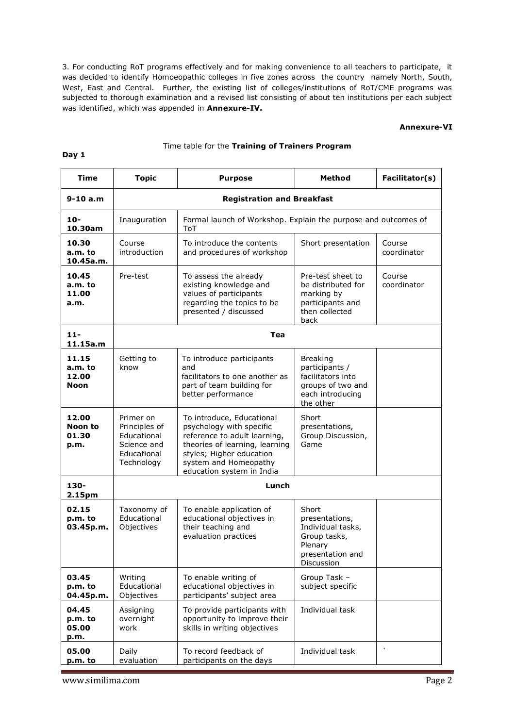3. For conducting RoT programs effectively and for making convenience to all teachers to participate, it was decided to identify Homoeopathic colleges in five zones across the country namely North, South, West, East and Central. Further, the existing list of colleges/institutions of RoT/CME programs was subjected to thorough examination and a revised list consisting of about ten institutions per each subject was identified, which was appended in **Annexure-IV.**

#### **Annexure-VI**

#### Time table for the **Training of Trainers Program**

| Time                                     | <b>Topic</b>                                                                          | <b>Purpose</b>                                                                                                                                                                                            | <b>Method</b>                                                                                                | Facilitator(s)        |
|------------------------------------------|---------------------------------------------------------------------------------------|-----------------------------------------------------------------------------------------------------------------------------------------------------------------------------------------------------------|--------------------------------------------------------------------------------------------------------------|-----------------------|
| $9 - 10 a.m$                             | <b>Registration and Breakfast</b>                                                     |                                                                                                                                                                                                           |                                                                                                              |                       |
| $10-$<br>10.30am                         | Inauguration                                                                          | Formal launch of Workshop. Explain the purpose and outcomes of<br>ToT                                                                                                                                     |                                                                                                              |                       |
| 10.30<br>a.m. to<br>10.45a.m.            | Course<br>introduction                                                                | To introduce the contents<br>and procedures of workshop                                                                                                                                                   | Short presentation                                                                                           | Course<br>coordinator |
| 10.45<br>a.m. to<br>11.00<br>a.m.        | Pre-test                                                                              | To assess the already<br>existing knowledge and<br>values of participants<br>regarding the topics to be<br>presented / discussed                                                                          | Pre-test sheet to<br>be distributed for<br>marking by<br>participants and<br>then collected<br>back          | Course<br>coordinator |
| $11 -$<br>11.15a.m                       |                                                                                       | Tea                                                                                                                                                                                                       |                                                                                                              |                       |
| 11.15<br>a.m. to<br>12.00<br><b>Noon</b> | Getting to<br>know                                                                    | To introduce participants<br>and<br>facilitators to one another as<br>part of team building for<br>better performance                                                                                     | <b>Breaking</b><br>participants /<br>facilitators into<br>groups of two and<br>each introducing<br>the other |                       |
| 12.00<br>Noon to<br>01.30<br>p.m.        | Primer on<br>Principles of<br>Educational<br>Science and<br>Educational<br>Technology | To introduce, Educational<br>psychology with specific<br>reference to adult learning,<br>theories of learning, learning<br>styles; Higher education<br>system and Homeopathy<br>education system in India | Short<br>presentations,<br>Group Discussion,<br>Game                                                         |                       |
| 130-<br>2.15pm                           |                                                                                       | Lunch                                                                                                                                                                                                     |                                                                                                              |                       |
| 02.15<br>p.m. to<br>03.45p.m.            | Taxonomy of<br>Educational<br>Objectives                                              | To enable application of<br>educational objectives in<br>their teaching and<br>evaluation practices                                                                                                       | Short<br>presentations,<br>Individual tasks,<br>Group tasks,<br>Plenary<br>presentation and<br>Discussion    |                       |
| 03.45<br>p.m. to<br>04.45p.m.            | Writing<br>Educational<br>Objectives                                                  | To enable writing of<br>educational objectives in<br>participants' subject area                                                                                                                           | Group Task -<br>subject specific                                                                             |                       |
| 04.45<br>p.m. to<br>05.00<br>p.m.        | Assigning<br>overnight<br>work                                                        | To provide participants with<br>opportunity to improve their<br>skills in writing objectives                                                                                                              | Individual task                                                                                              |                       |
| 05.00<br>p.m. to                         | Daily<br>evaluation                                                                   | To record feedback of<br>participants on the days                                                                                                                                                         | Individual task                                                                                              | $\cdot$               |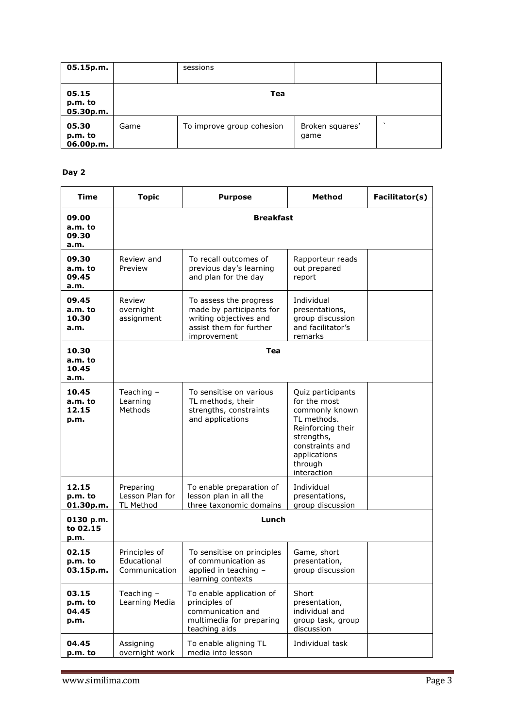| 05.15p.m.                     |      | sessions                  |                         |         |
|-------------------------------|------|---------------------------|-------------------------|---------|
| 05.15<br>p.m. to<br>05.30p.m. |      | Tea                       |                         |         |
| 05.30<br>p.m. to<br>06.00p.m. | Game | To improve group cohesion | Broken squares'<br>game | $\cdot$ |

| <b>Time</b>                       | <b>Topic</b>                                     | <b>Purpose</b>                                                                                                         | Method                                                                                                                                                             | Facilitator(s) |
|-----------------------------------|--------------------------------------------------|------------------------------------------------------------------------------------------------------------------------|--------------------------------------------------------------------------------------------------------------------------------------------------------------------|----------------|
| 09.00<br>a.m. to<br>09.30<br>a.m. |                                                  | <b>Breakfast</b>                                                                                                       |                                                                                                                                                                    |                |
| 09.30<br>a.m. to<br>09.45<br>a.m. | Review and<br>Preview                            | To recall outcomes of<br>previous day's learning<br>and plan for the day                                               | Rapporteur reads<br>out prepared<br>report                                                                                                                         |                |
| 09.45<br>a.m. to<br>10.30<br>a.m. | Review<br>overnight<br>assignment                | To assess the progress<br>made by participants for<br>writing objectives and<br>assist them for further<br>improvement | Individual<br>presentations,<br>group discussion<br>and facilitator's<br>remarks                                                                                   |                |
| 10.30<br>a.m. to<br>10.45<br>a.m. |                                                  | Tea                                                                                                                    |                                                                                                                                                                    |                |
| 10.45<br>a.m. to<br>12.15<br>p.m. | Teaching $-$<br>Learning<br>Methods              | To sensitise on various<br>TL methods, their<br>strengths, constraints<br>and applications                             | Quiz participants<br>for the most<br>commonly known<br>TL methods.<br>Reinforcing their<br>strengths,<br>constraints and<br>applications<br>through<br>interaction |                |
| 12.15<br>p.m. to<br>01.30p.m.     | Preparing<br>Lesson Plan for<br><b>TL Method</b> | To enable preparation of<br>lesson plan in all the<br>three taxonomic domains                                          | Individual<br>presentations,<br>group discussion                                                                                                                   |                |
| 0130 p.m.<br>to 02.15<br>p.m.     |                                                  | Lunch                                                                                                                  |                                                                                                                                                                    |                |
| 02.15<br>p.m. to<br>03.15p.m.     | Principles of<br>Educational<br>Communication    | To sensitise on principles<br>of communication as<br>applied in teaching -<br>learning contexts                        | Game, short<br>presentation,<br>group discussion                                                                                                                   |                |
| 03.15<br>p.m. to<br>04.45<br>p.m. | Teaching $-$<br>Learning Media                   | To enable application of<br>principles of<br>communication and<br>multimedia for preparing<br>teaching aids            | Short<br>presentation,<br>individual and<br>group task, group<br>discussion                                                                                        |                |
| 04.45<br>p.m. to                  | Assigning<br>overnight work                      | To enable aligning TL<br>media into lesson                                                                             | Individual task                                                                                                                                                    |                |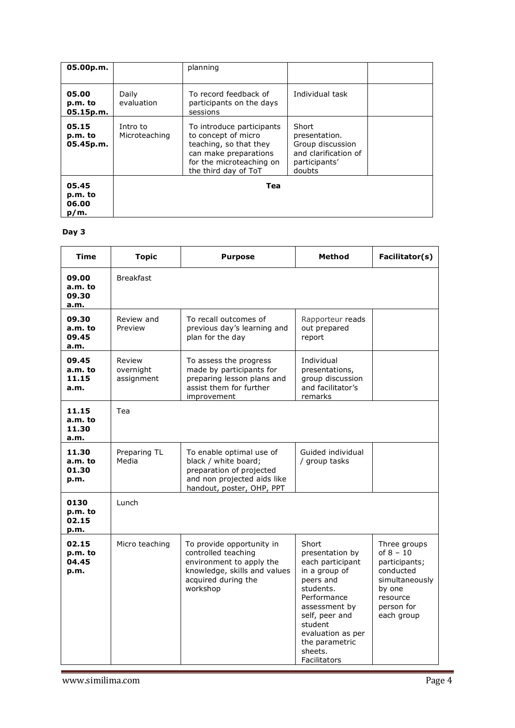| 05.00p.m.                            |                           | planning                                                                                                                                                |                                                                                               |  |
|--------------------------------------|---------------------------|---------------------------------------------------------------------------------------------------------------------------------------------------------|-----------------------------------------------------------------------------------------------|--|
| 05.00<br>p.m. to<br>05.15p.m.        | Daily<br>evaluation       | To record feedback of<br>participants on the days<br>sessions                                                                                           | Individual task                                                                               |  |
| 05.15<br>p.m. to<br>05.45p.m.        | Intro to<br>Microteaching | To introduce participants<br>to concept of micro<br>teaching, so that they<br>can make preparations<br>for the microteaching on<br>the third day of ToT | Short<br>presentation.<br>Group discussion<br>and clarification of<br>participants'<br>doubts |  |
| 05.45<br>p.m. to<br>06.00<br>$p/m$ . |                           | Tea                                                                                                                                                     |                                                                                               |  |

| <b>Time</b>                       | <b>Topic</b>                      | <b>Purpose</b>                                                                                                                                  | <b>Method</b>                                                                                                                                                                                                          | Facilitator(s)                                                                                                                |
|-----------------------------------|-----------------------------------|-------------------------------------------------------------------------------------------------------------------------------------------------|------------------------------------------------------------------------------------------------------------------------------------------------------------------------------------------------------------------------|-------------------------------------------------------------------------------------------------------------------------------|
| 09.00<br>a.m. to<br>09.30<br>a.m. | <b>Breakfast</b>                  |                                                                                                                                                 |                                                                                                                                                                                                                        |                                                                                                                               |
| 09.30<br>a.m. to<br>09.45<br>a.m. | Review and<br>Preview             | To recall outcomes of<br>previous day's learning and<br>plan for the day                                                                        | Rapporteur reads<br>out prepared<br>report                                                                                                                                                                             |                                                                                                                               |
| 09.45<br>a.m. to<br>11.15<br>a.m. | Review<br>overnight<br>assignment | To assess the progress<br>made by participants for<br>preparing lesson plans and<br>assist them for further<br>improvement                      | Individual<br>presentations,<br>group discussion<br>and facilitator's<br>remarks                                                                                                                                       |                                                                                                                               |
| 11.15<br>a.m. to<br>11.30<br>a.m. | Tea                               |                                                                                                                                                 |                                                                                                                                                                                                                        |                                                                                                                               |
| 11.30<br>a.m. to<br>01.30<br>p.m. | Preparing TL<br>Media             | To enable optimal use of<br>black / white board;<br>preparation of projected<br>and non projected aids like<br>handout, poster, OHP, PPT        | Guided individual<br>/ group tasks                                                                                                                                                                                     |                                                                                                                               |
| 0130<br>p.m. to<br>02.15<br>p.m.  | Lunch                             |                                                                                                                                                 |                                                                                                                                                                                                                        |                                                                                                                               |
| 02.15<br>p.m. to<br>04.45<br>p.m. | Micro teaching                    | To provide opportunity in<br>controlled teaching<br>environment to apply the<br>knowledge, skills and values<br>acquired during the<br>workshop | Short<br>presentation by<br>each participant<br>in a group of<br>peers and<br>students.<br>Performance<br>assessment by<br>self, peer and<br>student<br>evaluation as per<br>the parametric<br>sheets.<br>Facilitators | Three groups<br>of $8 - 10$<br>participants;<br>conducted<br>simultaneously<br>by one<br>resource<br>person for<br>each group |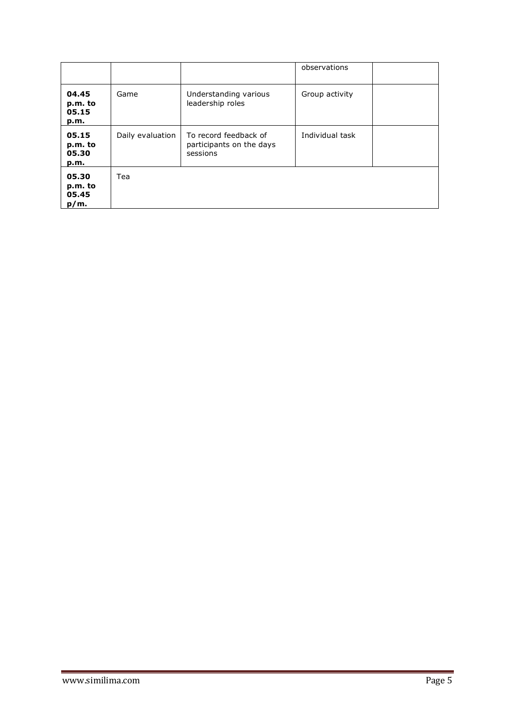|                                      |                  |                                                               | observations    |  |
|--------------------------------------|------------------|---------------------------------------------------------------|-----------------|--|
| 04.45<br>p.m. to<br>05.15<br>p.m.    | Game             | Understanding various<br>leadership roles                     | Group activity  |  |
| 05.15<br>p.m. to<br>05.30<br>p.m.    | Daily evaluation | To record feedback of<br>participants on the days<br>sessions | Individual task |  |
| 05.30<br>p.m. to<br>05.45<br>$p/m$ . | Tea              |                                                               |                 |  |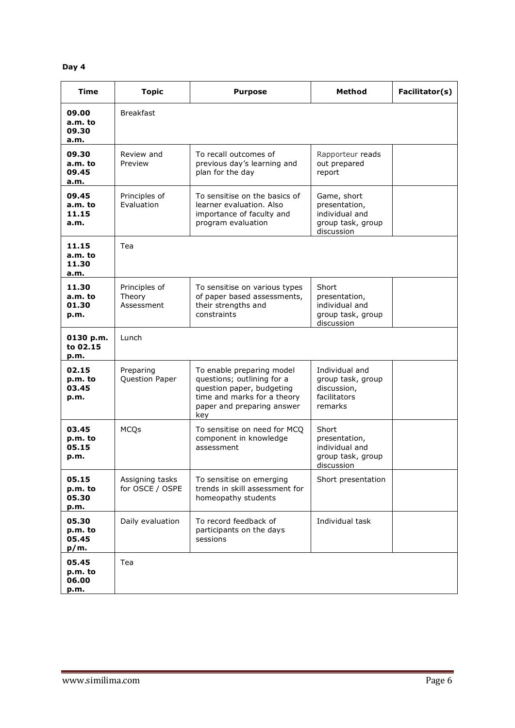| <b>Time</b>                       | <b>Topic</b>                          | <b>Purpose</b>                                                                                                                                           | <b>Method</b>                                                                     | Facilitator(s) |
|-----------------------------------|---------------------------------------|----------------------------------------------------------------------------------------------------------------------------------------------------------|-----------------------------------------------------------------------------------|----------------|
| 09.00<br>a.m. to<br>09.30<br>a.m. | <b>Breakfast</b>                      |                                                                                                                                                          |                                                                                   |                |
| 09.30<br>a.m. to<br>09.45<br>a.m. | Review and<br>Preview                 | To recall outcomes of<br>previous day's learning and<br>plan for the day                                                                                 | Rapporteur reads<br>out prepared<br>report                                        |                |
| 09.45<br>a.m. to<br>11.15<br>a.m. | Principles of<br>Evaluation           | To sensitise on the basics of<br>learner evaluation. Also<br>importance of faculty and<br>program evaluation                                             | Game, short<br>presentation,<br>individual and<br>group task, group<br>discussion |                |
| 11.15<br>a.m. to<br>11.30<br>a.m. | Tea                                   |                                                                                                                                                          |                                                                                   |                |
| 11.30<br>a.m. to<br>01.30<br>p.m. | Principles of<br>Theory<br>Assessment | To sensitise on various types<br>of paper based assessments,<br>their strengths and<br>constraints                                                       | Short<br>presentation,<br>individual and<br>group task, group<br>discussion       |                |
| 0130 p.m.<br>to 02.15<br>p.m.     | Lunch                                 |                                                                                                                                                          |                                                                                   |                |
| 02.15<br>p.m. to<br>03.45<br>p.m. | Preparing<br>Question Paper           | To enable preparing model<br>questions; outlining for a<br>question paper, budgeting<br>time and marks for a theory<br>paper and preparing answer<br>key | Individual and<br>group task, group<br>discussion,<br>facilitators<br>remarks     |                |
| 03.45<br>p.m. to<br>05.15<br>p.m. | <b>MCQs</b>                           | To sensitise on need for MCQ<br>component in knowledge<br>assessment                                                                                     | Short<br>presentation,<br>individual and<br>group task, group<br>discussion       |                |
| 05.15<br>p.m. to<br>05.30<br>p.m. | Assigning tasks<br>for OSCE / OSPE    | To sensitise on emerging<br>trends in skill assessment for<br>homeopathy students                                                                        | Short presentation                                                                |                |
| 05.30<br>p.m. to<br>05.45<br>p/m. | Daily evaluation                      | To record feedback of<br>participants on the days<br>sessions                                                                                            | Individual task                                                                   |                |
| 05.45<br>p.m. to<br>06.00<br>p.m. | Tea                                   |                                                                                                                                                          |                                                                                   |                |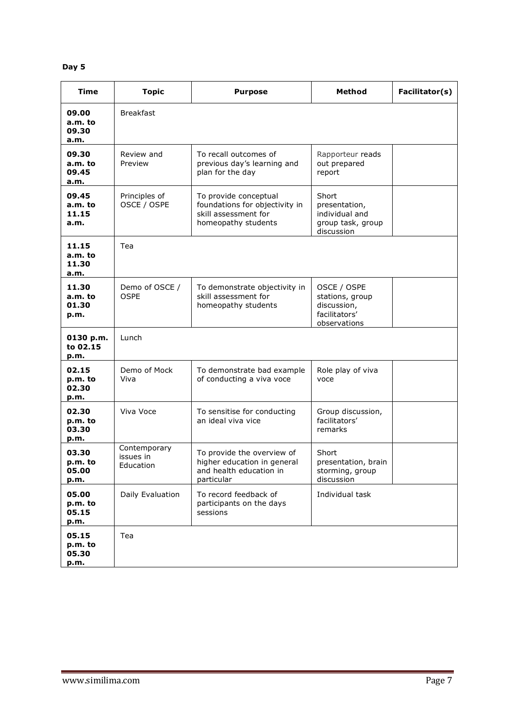| <b>Time</b>                       | <b>Topic</b>                           | <b>Purpose</b>                                                                                         | <b>Method</b>                                                                  | Facilitator(s) |
|-----------------------------------|----------------------------------------|--------------------------------------------------------------------------------------------------------|--------------------------------------------------------------------------------|----------------|
| 09.00<br>a.m. to<br>09.30<br>a.m. | <b>Breakfast</b>                       |                                                                                                        |                                                                                |                |
| 09.30<br>a.m. to<br>09.45<br>a.m. | Review and<br>Preview                  | To recall outcomes of<br>previous day's learning and<br>plan for the day                               | Rapporteur reads<br>out prepared<br>report                                     |                |
| 09.45<br>a.m. to<br>11.15<br>a.m. | Principles of<br>OSCE / OSPE           | To provide conceptual<br>foundations for objectivity in<br>skill assessment for<br>homeopathy students | Short<br>presentation,<br>individual and<br>group task, group<br>discussion    |                |
| 11.15<br>a.m. to<br>11.30<br>a.m. | Tea                                    |                                                                                                        |                                                                                |                |
| 11.30<br>a.m. to<br>01.30<br>p.m. | Demo of OSCE /<br><b>OSPE</b>          | To demonstrate objectivity in<br>skill assessment for<br>homeopathy students                           | OSCE / OSPE<br>stations, group<br>discussion,<br>facilitators'<br>observations |                |
| 0130 p.m.<br>to 02.15<br>p.m.     | Lunch                                  |                                                                                                        |                                                                                |                |
| 02.15<br>p.m. to<br>02.30<br>p.m. | Demo of Mock<br>Viva                   | To demonstrate bad example<br>of conducting a viva voce                                                | Role play of viva<br>voce                                                      |                |
| 02.30<br>p.m. to<br>03.30<br>p.m. | Viva Voce                              | To sensitise for conducting<br>an ideal viva vice                                                      | Group discussion,<br>facilitators'<br>remarks                                  |                |
| 03.30<br>p.m. to<br>05.00<br>p.m. | Contemporary<br>issues in<br>Education | To provide the overview of<br>higher education in general<br>and health education in<br>particular     | Short<br>presentation, brain<br>storming, group<br>discussion                  |                |
| 05.00<br>p.m. to<br>05.15<br>p.m. | Daily Evaluation                       | To record feedback of<br>participants on the days<br>sessions                                          | Individual task                                                                |                |
| 05.15<br>p.m. to<br>05.30<br>p.m. | Tea                                    |                                                                                                        |                                                                                |                |